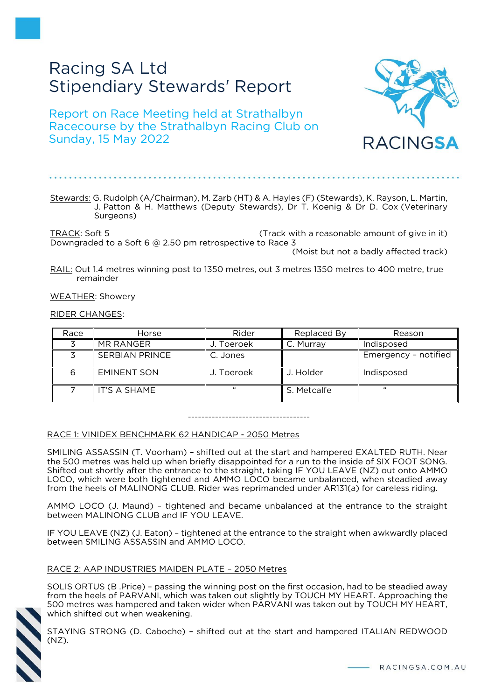# Racing SA Ltd Stipendiary Stewards' Report

Report on Race Meeting held at Strathalbyn Racecourse by the Strathalbyn Racing Club on Sunday, 15 May 2022



TRACK: Soft 5 (Track with a reasonable amount of give in it) Downgraded to a Soft 6 @ 2.50 pm retrospective to Race 3 (Moist but not a badly affected track)

RAIL: Out 1.4 metres winning post to 1350 metres, out 3 metres 1350 metres to 400 metre, true remainder

WEATHER: Showery

RIDER CHANGES:

| Race | Horse                 | Rider      | Replaced By | Reason               |
|------|-----------------------|------------|-------------|----------------------|
|      | MR RANGER             | J. Toeroek | C. Murray   | Indisposed           |
|      | <b>SERBIAN PRINCE</b> | C. Jones   |             | Emergency - notified |
|      | <b>EMINENT SON</b>    | J. Toeroek | J. Holder   | Indisposed           |
|      | IT'S A SHAME          | 66         | S. Metcalfe | 66                   |

------------------------------------

# RACE 1: VINIDEX BENCHMARK 62 HANDICAP - 2050 Metres

SMILING ASSASSIN (T. Voorham) – shifted out at the start and hampered EXALTED RUTH. Near the 500 metres was held up when briefly disappointed for a run to the inside of SIX FOOT SONG. Shifted out shortly after the entrance to the straight, taking IF YOU LEAVE (NZ) out onto AMMO LOCO, which were both tightened and AMMO LOCO became unbalanced, when steadied away from the heels of MALINONG CLUB. Rider was reprimanded under AR131(a) for careless riding.

AMMO LOCO (J. Maund) – tightened and became unbalanced at the entrance to the straight between MALINONG CLUB and IF YOU LEAVE.

IF YOU LEAVE (NZ) (J. Eaton) – tightened at the entrance to the straight when awkwardly placed between SMILING ASSASSIN and AMMO LOCO.

### RACE 2: AAP INDUSTRIES MAIDEN PLATE – 2050 Metres

SOLIS ORTUS (B .Price) – passing the winning post on the first occasion, had to be steadied away from the heels of PARVANI, which was taken out slightly by TOUCH MY HEART. Approaching the 500 metres was hampered and taken wider when PARVANI was taken out by TOUCH MY HEART, which shifted out when weakening.



STAYING STRONG (D. Caboche) – shifted out at the start and hampered ITALIAN REDWOOD (NZ).

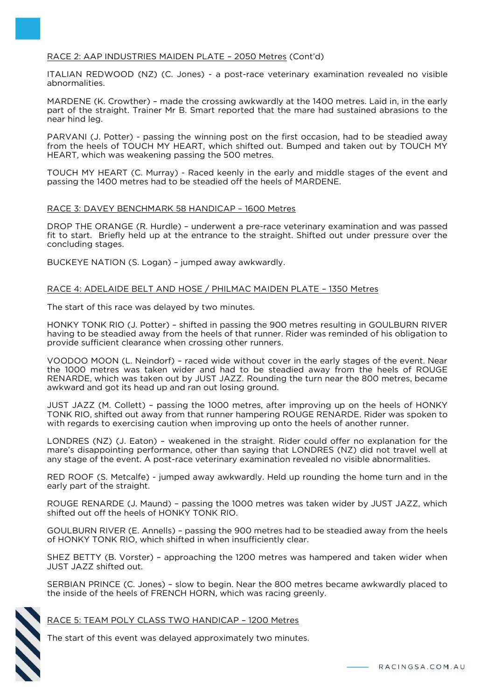# RACE 2: AAP INDUSTRIES MAIDEN PLATE – 2050 Metres (Cont'd)

ITALIAN REDWOOD (NZ) (C. Jones) - a post-race veterinary examination revealed no visible abnormalities.

MARDENE (K. Crowther) – made the crossing awkwardly at the 1400 metres. Laid in, in the early part of the straight. Trainer Mr B. Smart reported that the mare had sustained abrasions to the near hind leg.

PARVANI (J. Potter) - passing the winning post on the first occasion, had to be steadied away from the heels of TOUCH MY HEART, which shifted out. Bumped and taken out by TOUCH MY HEART, which was weakening passing the 500 metres.

TOUCH MY HEART (C. Murray) - Raced keenly in the early and middle stages of the event and passing the 1400 metres had to be steadied off the heels of MARDENE.

### RACE 3: DAVEY BENCHMARK 58 HANDICAP – 1600 Metres

DROP THE ORANGE (R. Hurdle) – underwent a pre-race veterinary examination and was passed fit to start. Briefly held up at the entrance to the straight. Shifted out under pressure over the concluding stages.

BUCKEYE NATION (S. Logan) – jumped away awkwardly.

## RACE 4: ADELAIDE BELT AND HOSE / PHILMAC MAIDEN PLATE – 1350 Metres

The start of this race was delayed by two minutes.

HONKY TONK RIO (J. Potter) – shifted in passing the 900 metres resulting in GOULBURN RIVER having to be steadied away from the heels of that runner. Rider was reminded of his obligation to provide sufficient clearance when crossing other runners.

VOODOO MOON (L. Neindorf) – raced wide without cover in the early stages of the event. Near the 1000 metres was taken wider and had to be steadied away from the heels of ROUGE RENARDE, which was taken out by JUST JAZZ. Rounding the turn near the 800 metres, became awkward and got its head up and ran out losing ground.

JUST JAZZ (M. Collett) – passing the 1000 metres, after improving up on the heels of HONKY TONK RIO, shifted out away from that runner hampering ROUGE RENARDE. Rider was spoken to with regards to exercising caution when improving up onto the heels of another runner.

LONDRES (NZ) (J. Eaton) – weakened in the straight. Rider could offer no explanation for the mare's disappointing performance, other than saying that LONDRES (NZ) did not travel well at any stage of the event. A post-race veterinary examination revealed no visible abnormalities.

RED ROOF (S. Metcalfe) - jumped away awkwardly. Held up rounding the home turn and in the early part of the straight.

ROUGE RENARDE (J. Maund) – passing the 1000 metres was taken wider by JUST JAZZ, which shifted out off the heels of HONKY TONK RIO.

GOULBURN RIVER (E. Annells) – passing the 900 metres had to be steadied away from the heels of HONKY TONK RIO, which shifted in when insufficiently clear.

SHEZ BETTY (B. Vorster) – approaching the 1200 metres was hampered and taken wider when JUST JAZZ shifted out.

SERBIAN PRINCE (C. Jones) – slow to begin. Near the 800 metres became awkwardly placed to the inside of the heels of FRENCH HORN, which was racing greenly.

# RACE 5: TEAM POLY CLASS TWO HANDICAP – 1200 Metres

The start of this event was delayed approximately two minutes.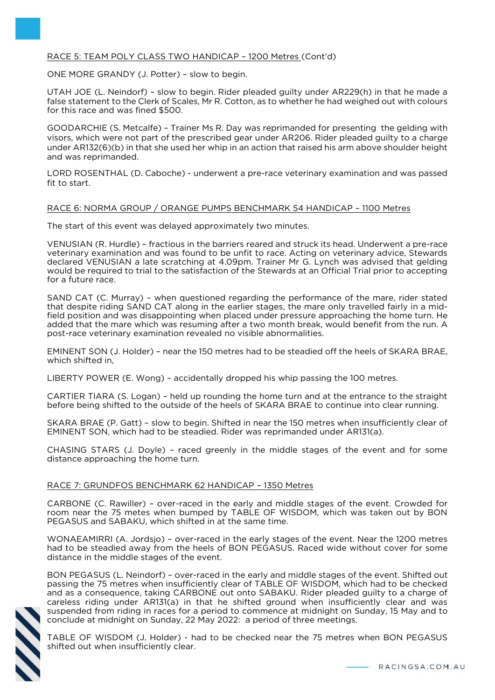# RACE 5: TEAM POLY CLASS TWO HANDICAP – 1200 Metres (Cont'd)

ONE MORE GRANDY (J. Potter) – slow to begin.

UTAH JOE (L. Neindorf) – slow to begin. Rider pleaded guilty under AR229(h) in that he made a false statement to the Clerk of Scales, Mr R. Cotton, as to whether he had weighed out with colours for this race and was fined \$500.

GOODARCHIE (S. Metcalfe) – Trainer Ms R. Day was reprimanded for presenting the gelding with visors, which were not part of the prescribed gear under AR206. Rider pleaded guilty to a charge under AR132(6)(b) in that she used her whip in an action that raised his arm above shoulder height and was reprimanded.

LORD ROSENTHAL (D. Caboche) - underwent a pre-race veterinary examination and was passed fit to start.

## RACE 6: NORMA GROUP / ORANGE PUMPS BENCHMARK 54 HANDICAP – 1100 Metres

The start of this event was delayed approximately two minutes.

VENUSIAN (R. Hurdle) – fractious in the barriers reared and struck its head. Underwent a pre-race veterinary examination and was found to be unfit to race. Acting on veterinary advice, Stewards declared VENUSIAN a late scratching at 4.09pm. Trainer Mr G. Lynch was advised that gelding would be required to trial to the satisfaction of the Stewards at an Official Trial prior to accepting for a future race.

SAND CAT (C. Murray) – when questioned regarding the performance of the mare, rider stated that despite riding SAND CAT along in the earlier stages, the mare only travelled fairly in a midfield position and was disappointing when placed under pressure approaching the home turn. He added that the mare which was resuming after a two month break, would benefit from the run. A post-race veterinary examination revealed no visible abnormalities.

EMINENT SON (J. Holder) – near the 150 metres had to be steadied off the heels of SKARA BRAE, which shifted in,

LIBERTY POWER (E. Wong) – accidentally dropped his whip passing the 100 metres.

CARTIER TIARA (S. Logan) – held up rounding the home turn and at the entrance to the straight before being shifted to the outside of the heels of SKARA BRAE to continue into clear running.

SKARA BRAE (P. Gatt) – slow to begin. Shifted in near the 150 metres when insufficiently clear of EMINENT SON, which had to be steadied. Rider was reprimanded under AR131(a).

CHASING STARS (J. Doyle) – raced greenly in the middle stages of the event and for some distance approaching the home turn.

# RACE 7: GRUNDFOS BENCHMARK 62 HANDICAP – 1350 Metres

CARBONE (C. Rawiller) – over-raced in the early and middle stages of the event. Crowded for room near the 75 metes when bumped by TABLE OF WISDOM, which was taken out by BON PEGASUS and SABAKU, which shifted in at the same time.

WONAEAMIRRI (A. Jordsjo) – over-raced in the early stages of the event. Near the 1200 metres had to be steadied away from the heels of BON PEGASUS. Raced wide without cover for some distance in the middle stages of the event.

BON PEGASUS (L. Neindorf) – over-raced in the early and middle stages of the event. Shifted out passing the 75 metres when insufficiently clear of TABLE OF WISDOM, which had to be checked and as a consequence, taking CARBONE out onto SABAKU. Rider pleaded guilty to a charge of careless riding under AR131(a) in that he shifted ground when insufficiently clear and was suspended from riding in races for a period to commence at midnight on Sunday, 15 May and to conclude at midnight on Sunday, 22 May 2022: a period of three meetings.



TABLE OF WISDOM (J. Holder) - had to be checked near the 75 metres when BON PEGASUS shifted out when insufficiently clear.